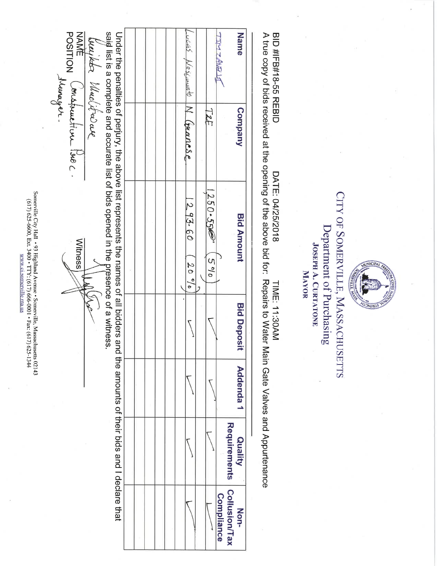Somerville City Hall +93 Highland Avenue \* Somerville, Massachusetts 02143<br>
6017) 625-6600, Ext. 3400 \* TTY: (617) 666-0001 \* Fax: (617) 625-1344 WW.CLSOMCIVIIIe.ma.us

POSITION (ourstauction Poec.) Name said list is a complete and accurate list of bids opened in the presence of a witness Under the penalties of perjury, the above list represents the names of all bidders and the amounts of their bids and I declare that JURIST LIVE  $0.005$ been the Macitive are Weschember N Corancse TZE Company  $250 - 550$  $293.60$ **Bid Amount Witness**  $590$  $20°$ IND **Bid Deposit** Addenda<sub>1</sub> Requirements Quality Collusion/Tax **Compliance** Non-

CITY OF SOMERVILLE, MASSACHUSETTS Department of Purchasing **JOSEPH A. CURTATONE** MAYOR

**BID#FB#18-55<br>
REBID** 

DATE: 04/25/2018

TIME: 11:30AM

A true copy of bids received at the opening of the above bid for: Repairs to Water Main Gate Valves and Appurtenance